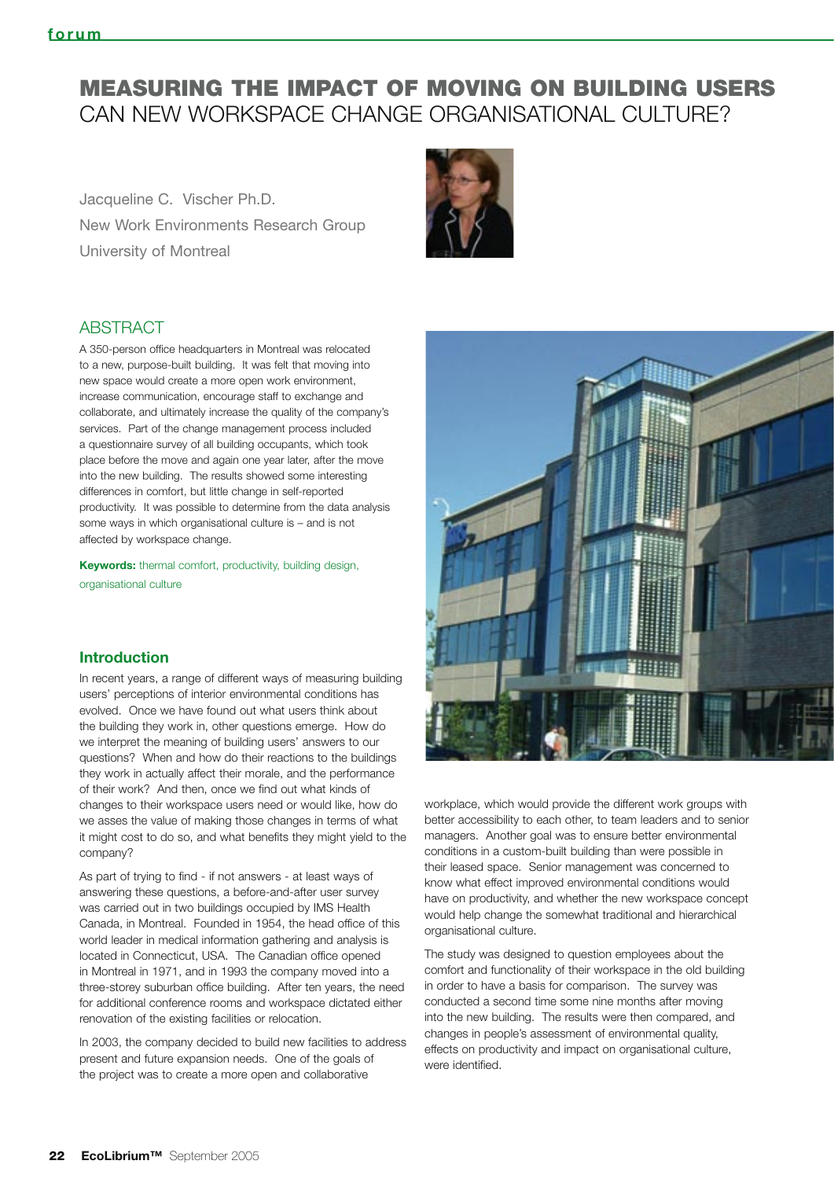### MEASURING THE IMPACT OF MOVING ON BUILDING USERS CAN NEW WORKSPACE CHANGE ORGANISATIONAL CULTURE?

Jacqueline C. Vischer Ph.D. New Work Environments Research Group University of Montreal



#### **ABSTRACT**

A 350-person office headquarters in Montreal was relocated to a new, purpose-built building. It was felt that moving into new space would create a more open work environment, increase communication, encourage staff to exchange and collaborate, and ultimately increase the quality of the company's services. Part of the change management process included a questionnaire survey of all building occupants, which took place before the move and again one year later, after the move into the new building. The results showed some interesting differences in comfort, but little change in self-reported productivity. It was possible to determine from the data analysis some ways in which organisational culture is – and is not affected by workspace change.

**Keywords:** thermal comfort, productivity, building design, organisational culture

#### **Introduction**

In recent years, a range of different ways of measuring building users' perceptions of interior environmental conditions has evolved. Once we have found out what users think about the building they work in, other questions emerge. How do we interpret the meaning of building users' answers to our questions? When and how do their reactions to the buildings they work in actually affect their morale, and the performance of their work? And then, once we find out what kinds of changes to their workspace users need or would like, how do we asses the value of making those changes in terms of what it might cost to do so, and what benefits they might yield to the company?

As part of trying to find - if not answers - at least ways of answering these questions, a before-and-after user survey was carried out in two buildings occupied by IMS Health Canada, in Montreal. Founded in 1954, the head office of this world leader in medical information gathering and analysis is located in Connecticut, USA. The Canadian office opened in Montreal in 1971, and in 1993 the company moved into a three-storey suburban office building. After ten years, the need for additional conference rooms and workspace dictated either renovation of the existing facilities or relocation.

In 2003, the company decided to build new facilities to address present and future expansion needs. One of the goals of the project was to create a more open and collaborative



workplace, which would provide the different work groups with better accessibility to each other, to team leaders and to senior managers. Another goal was to ensure better environmental conditions in a custom-built building than were possible in their leased space. Senior management was concerned to know what effect improved environmental conditions would have on productivity, and whether the new workspace concept would help change the somewhat traditional and hierarchical organisational culture.

The study was designed to question employees about the comfort and functionality of their workspace in the old building in order to have a basis for comparison. The survey was conducted a second time some nine months after moving into the new building. The results were then compared, and changes in people's assessment of environmental quality, effects on productivity and impact on organisational culture, were identified.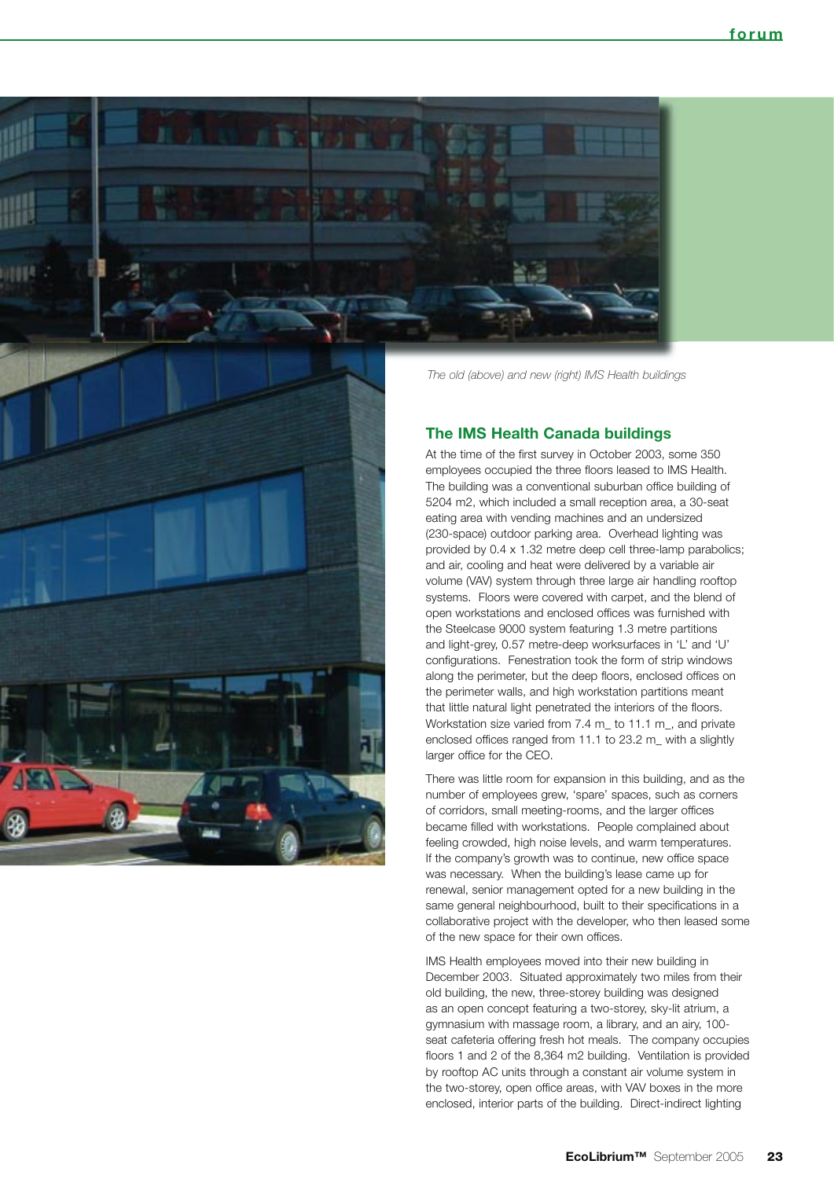



#### **The IMS Health Canada buildings**

At the time of the first survey in October 2003, some 350 employees occupied the three floors leased to IMS Health. The building was a conventional suburban office building of 5204 m2, which included a small reception area, a 30-seat eating area with vending machines and an undersized (230-space) outdoor parking area. Overhead lighting was provided by 0.4 x 1.32 metre deep cell three-lamp parabolics; and air, cooling and heat were delivered by a variable air volume (VAV) system through three large air handling rooftop systems. Floors were covered with carpet, and the blend of open workstations and enclosed offices was furnished with the Steelcase 9000 system featuring 1.3 metre partitions and light-grey, 0.57 metre-deep worksurfaces in 'L' and 'U' configurations. Fenestration took the form of strip windows along the perimeter, but the deep floors, enclosed offices on the perimeter walls, and high workstation partitions meant that little natural light penetrated the interiors of the floors. Workstation size varied from 7.4 m\_ to 11.1 m\_, and private enclosed offices ranged from 11.1 to 23.2 m\_ with a slightly larger office for the CEO.

There was little room for expansion in this building, and as the number of employees grew, 'spare' spaces, such as corners of corridors, small meeting-rooms, and the larger offices became filled with workstations. People complained about feeling crowded, high noise levels, and warm temperatures. If the company's growth was to continue, new office space was necessary. When the building's lease came up for renewal, senior management opted for a new building in the same general neighbourhood, built to their specifications in a collaborative project with the developer, who then leased some of the new space for their own offices.

IMS Health employees moved into their new building in December 2003. Situated approximately two miles from their old building, the new, three-storey building was designed as an open concept featuring a two-storey, sky-lit atrium, a gymnasium with massage room, a library, and an airy, 100 seat cafeteria offering fresh hot meals. The company occupies floors 1 and 2 of the 8,364 m2 building. Ventilation is provided by rooftop AC units through a constant air volume system in the two-storey, open office areas, with VAV boxes in the more enclosed, interior parts of the building. Direct-indirect lighting

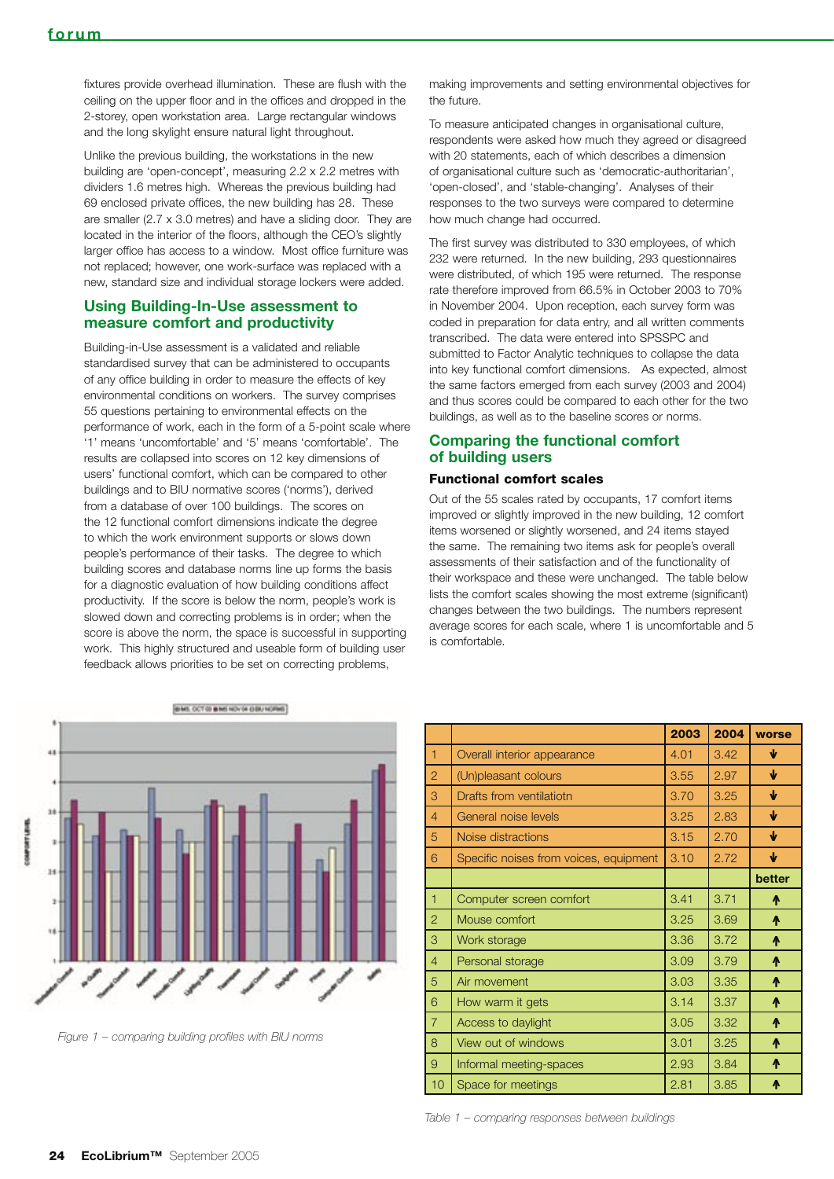fixtures provide overhead illumination. These are flush with the ceiling on the upper floor and in the offices and dropped in the 2-storey, open workstation area. Large rectangular windows and the long skylight ensure natural light throughout.

Unlike the previous building, the workstations in the new building are 'open-concept', measuring 2.2 x 2.2 metres with dividers 1.6 metres high. Whereas the previous building had 69 enclosed private offices, the new building has 28. These are smaller (2.7 x 3.0 metres) and have a sliding door. They are located in the interior of the floors, although the CEO's slightly larger office has access to a window. Most office furniture was not replaced; however, one work-surface was replaced with a new, standard size and individual storage lockers were added.

#### **Using Building-In-Use assessment to measure comfort and productivity**

Building-in-Use assessment is a validated and reliable standardised survey that can be administered to occupants of any office building in order to measure the effects of key environmental conditions on workers. The survey comprises 55 questions pertaining to environmental effects on the performance of work, each in the form of a 5-point scale where '1' means 'uncomfortable' and '5' means 'comfortable'. The results are collapsed into scores on 12 key dimensions of users' functional comfort, which can be compared to other buildings and to BIU normative scores ('norms'), derived from a database of over 100 buildings. The scores on the 12 functional comfort dimensions indicate the degree to which the work environment supports or slows down people's performance of their tasks. The degree to which building scores and database norms line up forms the basis for a diagnostic evaluation of how building conditions affect productivity. If the score is below the norm, people's work is slowed down and correcting problems is in order; when the score is above the norm, the space is successful in supporting work. This highly structured and useable form of building user feedback allows priorities to be set on correcting problems,

making improvements and setting environmental objectives for the future.

To measure anticipated changes in organisational culture, respondents were asked how much they agreed or disagreed with 20 statements, each of which describes a dimension of organisational culture such as 'democratic-authoritarian', 'open-closed', and 'stable-changing'. Analyses of their responses to the two surveys were compared to determine how much change had occurred.

The first survey was distributed to 330 employees, of which 232 were returned. In the new building, 293 questionnaires were distributed, of which 195 were returned. The response rate therefore improved from 66.5% in October 2003 to 70% in November 2004. Upon reception, each survey form was coded in preparation for data entry, and all written comments transcribed. The data were entered into SPSSPC and submitted to Factor Analytic techniques to collapse the data into key functional comfort dimensions. As expected, almost the same factors emerged from each survey (2003 and 2004) and thus scores could be compared to each other for the two buildings, as well as to the baseline scores or norms.

#### **Comparing the functional comfort of building users**

#### Functional comfort scales

Out of the 55 scales rated by occupants, 17 comfort items improved or slightly improved in the new building, 12 comfort items worsened or slightly worsened, and 24 items stayed the same. The remaining two items ask for people's overall assessments of their satisfaction and of the functionality of their workspace and these were unchanged. The table below lists the comfort scales showing the most extreme (significant) changes between the two buildings. The numbers represent average scores for each scale, where 1 is uncomfortable and 5 is comfortable.



*Figure 1 – comparing building profiles with BIU norms*

|                |                                        | 2003 | 2004      | worse        |
|----------------|----------------------------------------|------|-----------|--------------|
| $\overline{1}$ | Overall interior appearance            | 4.01 | ₩<br>3.42 |              |
| $\overline{2}$ | (Un)pleasant colours                   | 3.55 | 2.97      | $\mathbf{v}$ |
| 3              | Drafts from ventilatiotn               | 3.70 | 3.25      | $\mathbf{v}$ |
| $\overline{4}$ | General noise levels                   | 3.25 | 2.83      | $\mathbf{v}$ |
| 5              | Noise distractions                     | 3.15 | 2.70      | $\mathbf{v}$ |
| 6              | Specific noises from voices, equipment | 3.10 | 2.72      | $\mathbf{v}$ |
|                |                                        |      |           | better       |
| $\mathbf{1}$   | Computer screen comfort                | 3.41 | 3.71      | ᠰ            |
| $\overline{2}$ | Mouse comfort                          | 3.25 | 3.69      | ∧            |
| 3              | Work storage                           | 3.36 | 3.72      | ᠰ            |
| $\overline{4}$ | Personal storage                       | 3.09 | 3.79      | ᠰ            |
| 5              | Air movement                           | 3.03 | 3.35      | ᠰ            |
| 6              | How warm it gets                       | 3.14 | 3.37      | ᠰ            |
| $\overline{7}$ | Access to daylight                     | 3.05 | 3.32      | ᠰ            |
| 8              | View out of windows                    | 3.01 | 3.25      | ᠰ            |
| 9              | Informal meeting-spaces                | 2.93 | 3.84      | ᠰ            |
| 10             | Space for meetings                     | 2.81 | 3.85      | ላ            |

*Table 1 – comparing responses between buildings*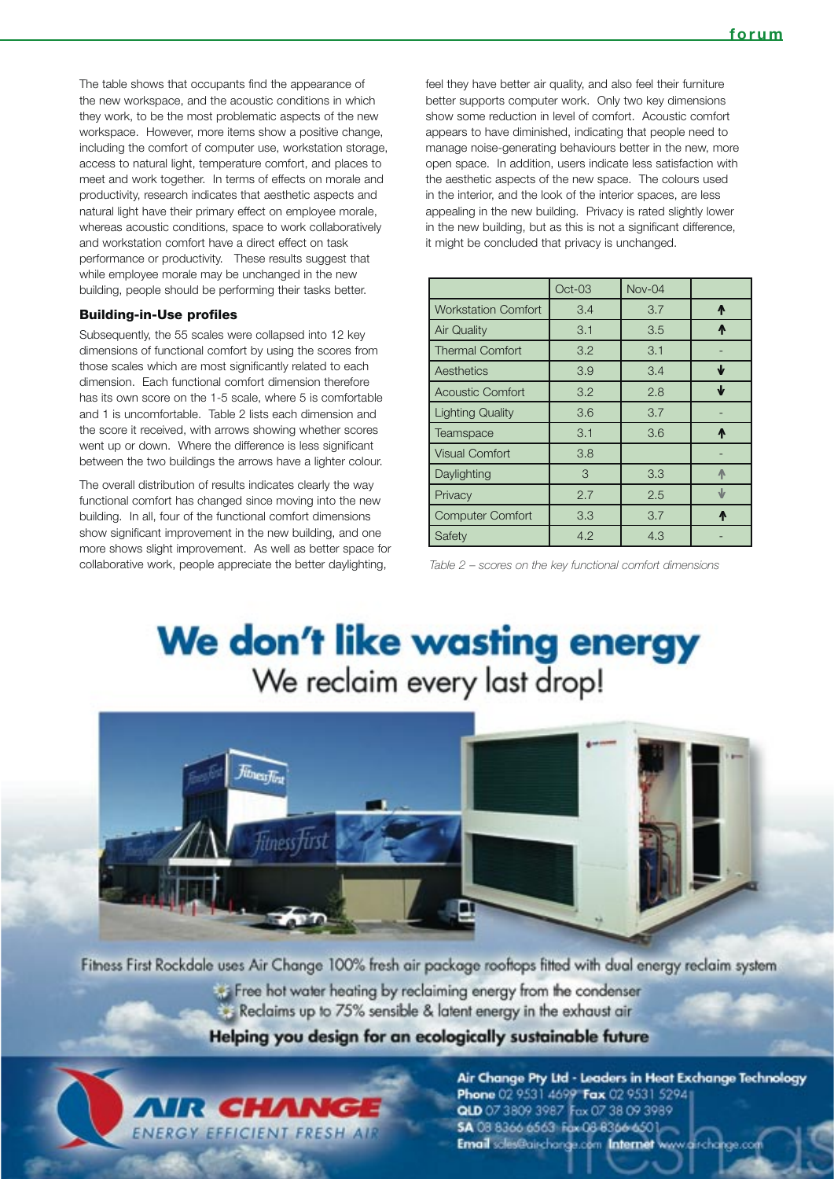The table shows that occupants find the appearance of the new workspace, and the acoustic conditions in which they work, to be the most problematic aspects of the new workspace. However, more items show a positive change, including the comfort of computer use, workstation storage, access to natural light, temperature comfort, and places to meet and work together. In terms of effects on morale and productivity, research indicates that aesthetic aspects and natural light have their primary effect on employee morale, whereas acoustic conditions, space to work collaboratively and workstation comfort have a direct effect on task performance or productivity. These results suggest that while employee morale may be unchanged in the new building, people should be performing their tasks better.

#### Building-in-Use profiles

Subsequently, the 55 scales were collapsed into 12 key dimensions of functional comfort by using the scores from those scales which are most significantly related to each dimension. Each functional comfort dimension therefore has its own score on the 1-5 scale, where 5 is comfortable and 1 is uncomfortable. Table 2 lists each dimension and the score it received, with arrows showing whether scores went up or down. Where the difference is less significant between the two buildings the arrows have a lighter colour.

The overall distribution of results indicates clearly the way functional comfort has changed since moving into the new building. In all, four of the functional comfort dimensions show significant improvement in the new building, and one more shows slight improvement. As well as better space for collaborative work, people appreciate the better daylighting,

feel they have better air quality, and also feel their furniture better supports computer work. Only two key dimensions show some reduction in level of comfort. Acoustic comfort appears to have diminished, indicating that people need to manage noise-generating behaviours better in the new, more open space. In addition, users indicate less satisfaction with the aesthetic aspects of the new space. The colours used in the interior, and the look of the interior spaces, are less appealing in the new building. Privacy is rated slightly lower in the new building, but as this is not a significant difference, it might be concluded that privacy is unchanged.

|                            | $Oct-03$ | Nov-04 |           |
|----------------------------|----------|--------|-----------|
| <b>Workstation Comfort</b> | 3.4      | 3.7    | <b>A</b>  |
| <b>Air Quality</b>         | 3.1      | 3.5    | <b>A</b>  |
| <b>Thermal Comfort</b>     | 3.2      | 3.1    |           |
| Aesthetics                 | 3.9      | 3.4    | ₩         |
| <b>Acoustic Comfort</b>    | 3.2      | 2.8    | ₩         |
| <b>Lighting Quality</b>    | 3.6      | 3.7    |           |
| Teamspace                  | 3.1      | 3.6    | Л         |
| <b>Visual Comfort</b>      | 3.8      |        |           |
| Daylighting                | 3        | 3.3    | ∧         |
| Privacy                    | 2.7      | 2.5    | $\sqrt{}$ |
| <b>Computer Comfort</b>    | 3.3      | 3.7    | Л         |
| Safety                     | 4.2      | 4.3    |           |

*Table 2 – scores on the key functional comfort dimensions*

## We don't like wasting energy We reclaim every last drop!



Fitness First Rockdale uses Air Change 100% fresh air package rooftops fitted with dual energy reclaim system Free hot water heating by reclaiming energy from the condenser Reclaims up to 75% sensible & latent energy in the exhaust air

Helping you design for an ecologically sustainable future



Air Change Pty Ltd - Leaders in Heat Exchange Technology Phone 02 9531 4699 Fax 02 9531 5294 QLD 07 3809 3987 Fax 07 38 09 3989 5A 08 8366 6563 Fax 08 8366 6501-Email scles@aischange.com Internet www.airchange.com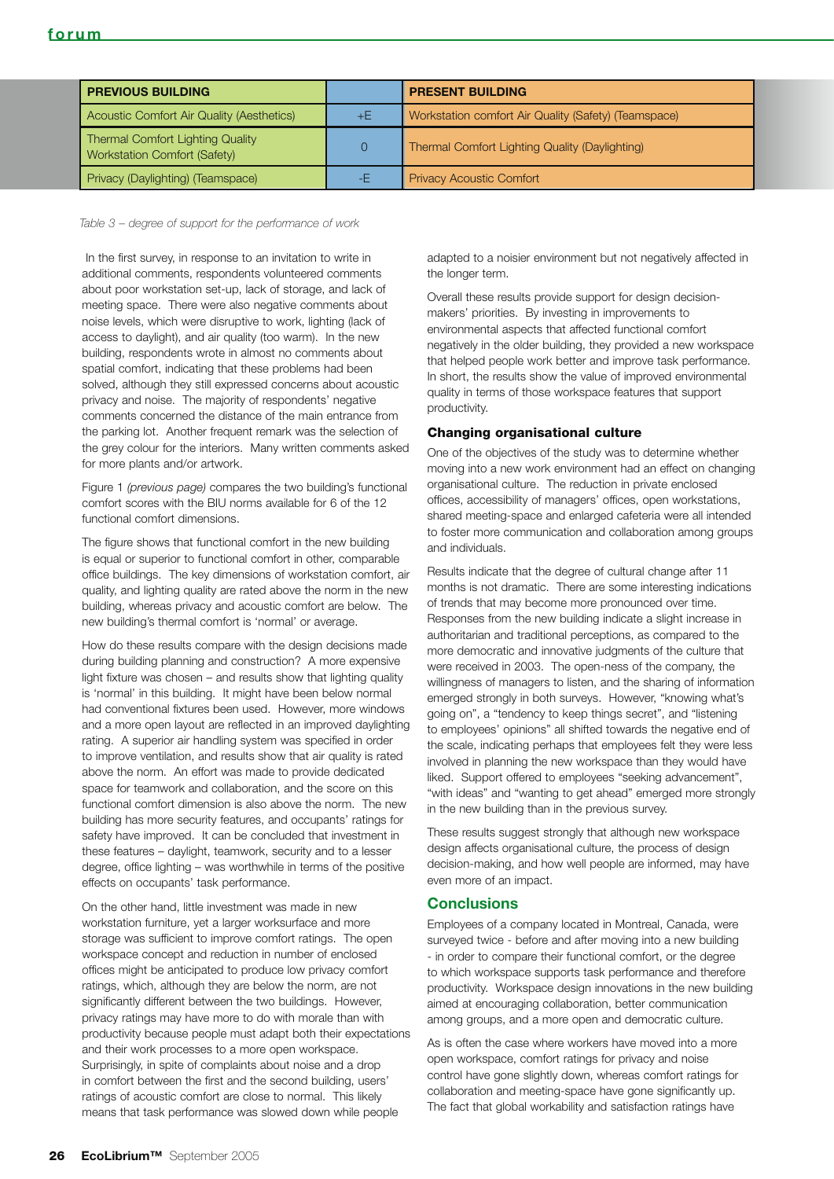| <b>PREVIOUS BUILDING</b>                                                       |    | <b>PRESENT BUILDING</b>                              |
|--------------------------------------------------------------------------------|----|------------------------------------------------------|
| Acoustic Comfort Air Quality (Aesthetics)                                      | +E | Workstation comfort Air Quality (Safety) (Teamspace) |
| <b>Thermal Comfort Lighting Quality</b><br><b>Workstation Comfort (Safety)</b> |    | Thermal Comfort Lighting Quality (Daylighting)       |
| Privacy (Daylighting) (Teamspace)                                              |    | <b>Privacy Acoustic Comfort</b>                      |

*Table 3 – degree of support for the performance of work*

 In the first survey, in response to an invitation to write in additional comments, respondents volunteered comments about poor workstation set-up, lack of storage, and lack of meeting space. There were also negative comments about noise levels, which were disruptive to work, lighting (lack of access to daylight), and air quality (too warm). In the new building, respondents wrote in almost no comments about spatial comfort, indicating that these problems had been solved, although they still expressed concerns about acoustic privacy and noise. The majority of respondents' negative comments concerned the distance of the main entrance from the parking lot. Another frequent remark was the selection of the grey colour for the interiors. Many written comments asked for more plants and/or artwork.

Figure 1 *(previous page)* compares the two building's functional comfort scores with the BIU norms available for 6 of the 12 functional comfort dimensions.

The figure shows that functional comfort in the new building is equal or superior to functional comfort in other, comparable office buildings. The key dimensions of workstation comfort, air quality, and lighting quality are rated above the norm in the new building, whereas privacy and acoustic comfort are below. The new building's thermal comfort is 'normal' or average.

How do these results compare with the design decisions made during building planning and construction? A more expensive light fixture was chosen – and results show that lighting quality is 'normal' in this building. It might have been below normal had conventional fixtures been used. However, more windows and a more open layout are reflected in an improved daylighting rating. A superior air handling system was specified in order to improve ventilation, and results show that air quality is rated above the norm. An effort was made to provide dedicated space for teamwork and collaboration, and the score on this functional comfort dimension is also above the norm. The new building has more security features, and occupants' ratings for safety have improved. It can be concluded that investment in these features – daylight, teamwork, security and to a lesser degree, office lighting – was worthwhile in terms of the positive effects on occupants' task performance.

On the other hand, little investment was made in new workstation furniture, yet a larger worksurface and more storage was sufficient to improve comfort ratings. The open workspace concept and reduction in number of enclosed offices might be anticipated to produce low privacy comfort ratings, which, although they are below the norm, are not significantly different between the two buildings. However, privacy ratings may have more to do with morale than with productivity because people must adapt both their expectations and their work processes to a more open workspace. Surprisingly, in spite of complaints about noise and a drop in comfort between the first and the second building, users' ratings of acoustic comfort are close to normal. This likely means that task performance was slowed down while people

adapted to a noisier environment but not negatively affected in the longer term.

Overall these results provide support for design decisionmakers' priorities. By investing in improvements to environmental aspects that affected functional comfort negatively in the older building, they provided a new workspace that helped people work better and improve task performance. In short, the results show the value of improved environmental quality in terms of those workspace features that support productivity.

#### Changing organisational culture

One of the objectives of the study was to determine whether moving into a new work environment had an effect on changing organisational culture. The reduction in private enclosed offices, accessibility of managers' offices, open workstations, shared meeting-space and enlarged cafeteria were all intended to foster more communication and collaboration among groups and individuals.

Results indicate that the degree of cultural change after 11 months is not dramatic. There are some interesting indications of trends that may become more pronounced over time. Responses from the new building indicate a slight increase in authoritarian and traditional perceptions, as compared to the more democratic and innovative judgments of the culture that were received in 2003. The open-ness of the company, the willingness of managers to listen, and the sharing of information emerged strongly in both surveys. However, "knowing what's going on", a "tendency to keep things secret", and "listening to employees' opinions" all shifted towards the negative end of the scale, indicating perhaps that employees felt they were less involved in planning the new workspace than they would have liked. Support offered to employees "seeking advancement", "with ideas" and "wanting to get ahead" emerged more strongly in the new building than in the previous survey.

These results suggest strongly that although new workspace design affects organisational culture, the process of design decision-making, and how well people are informed, may have even more of an impact.

#### **Conclusions**

Employees of a company located in Montreal, Canada, were surveyed twice - before and after moving into a new building - in order to compare their functional comfort, or the degree to which workspace supports task performance and therefore productivity. Workspace design innovations in the new building aimed at encouraging collaboration, better communication among groups, and a more open and democratic culture.

As is often the case where workers have moved into a more open workspace, comfort ratings for privacy and noise control have gone slightly down, whereas comfort ratings for collaboration and meeting-space have gone significantly up. The fact that global workability and satisfaction ratings have